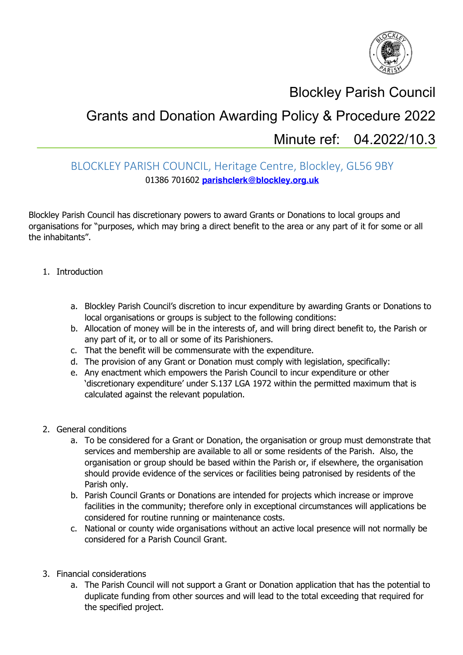

## Blockley Parish Council

## Grants and Donation Awarding Policy & Procedure 2022 Minute ref: 04.2022/10.3

## BLOCKLEY PARISH COUNCIL, Heritage Centre, Blockley, GL56 9BY 01386 701602 **parishclerk@blockley.org.uk**

Blockley Parish Council has discretionary powers to award Grants or Donations to local groups and organisations for "purposes, which may bring a direct benefit to the area or any part of it for some or all the inhabitants".

- 1. Introduction
	- a. Blockley Parish Council's discretion to incur expenditure by awarding Grants or Donations to local organisations or groups is subject to the following conditions:
	- b. Allocation of money will be in the interests of, and will bring direct benefit to, the Parish or any part of it, or to all or some of its Parishioners.
	- c. That the benefit will be commensurate with the expenditure.
	- d. The provision of any Grant or Donation must comply with legislation, specifically:
	- e. Any enactment which empowers the Parish Council to incur expenditure or other 'discretionary expenditure' under S.137 LGA 1972 within the permitted maximum that is calculated against the relevant population.
- 2. General conditions
	- a. To be considered for a Grant or Donation, the organisation or group must demonstrate that services and membership are available to all or some residents of the Parish. Also, the organisation or group should be based within the Parish or, if elsewhere, the organisation should provide evidence of the services or facilities being patronised by residents of the Parish only.
	- b. Parish Council Grants or Donations are intended for projects which increase or improve facilities in the community; therefore only in exceptional circumstances will applications be considered for routine running or maintenance costs.
	- c. National or county wide organisations without an active local presence will not normally be considered for a Parish Council Grant.
- 3. Financial considerations
	- a. The Parish Council will not support a Grant or Donation application that has the potential to duplicate funding from other sources and will lead to the total exceeding that required for the specified project.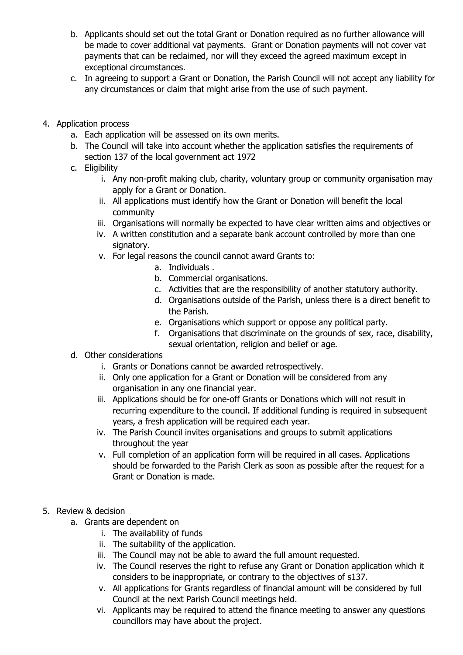- b. Applicants should set out the total Grant or Donation required as no further allowance will be made to cover additional vat payments. Grant or Donation payments will not cover vat payments that can be reclaimed, nor will they exceed the agreed maximum except in exceptional circumstances.
- c. In agreeing to support a Grant or Donation, the Parish Council will not accept any liability for any circumstances or claim that might arise from the use of such payment.
- 4. Application process
	- a. Each application will be assessed on its own merits.
	- b. The Council will take into account whether the application satisfies the requirements of section 137 of the local government act 1972
	- c. Eligibility
		- i. Any non-profit making club, charity, voluntary group or community organisation may apply for a Grant or Donation.
		- ii. All applications must identify how the Grant or Donation will benefit the local community
		- iii. Organisations will normally be expected to have clear written aims and objectives or
		- iv. A written constitution and a separate bank account controlled by more than one signatory.
		- v. For legal reasons the council cannot award Grants to:
			- a. Individuals .
			- b. Commercial organisations.
			- c. Activities that are the responsibility of another statutory authority.
			- d. Organisations outside of the Parish, unless there is a direct benefit to the Parish.
			- e. Organisations which support or oppose any political party.
			- f. Organisations that discriminate on the grounds of sex, race, disability, sexual orientation, religion and belief or age.
	- d. Other considerations
		- i. Grants or Donations cannot be awarded retrospectively.
		- ii. Only one application for a Grant or Donation will be considered from any organisation in any one financial year.
		- iii. Applications should be for one-off Grants or Donations which will not result in recurring expenditure to the council. If additional funding is required in subsequent years, a fresh application will be required each year.
		- iv. The Parish Council invites organisations and groups to submit applications throughout the year
		- v. Full completion of an application form will be required in all cases. Applications should be forwarded to the Parish Clerk as soon as possible after the request for a Grant or Donation is made.
- 5. Review & decision
	- a. Grants are dependent on
		- i. The availability of funds
		- ii. The suitability of the application.
		- iii. The Council may not be able to award the full amount requested.
		- iv. The Council reserves the right to refuse any Grant or Donation application which it considers to be inappropriate, or contrary to the objectives of s137.
		- v. All applications for Grants regardless of financial amount will be considered by full Council at the next Parish Council meetings held.
		- vi. Applicants may be required to attend the finance meeting to answer any questions councillors may have about the project.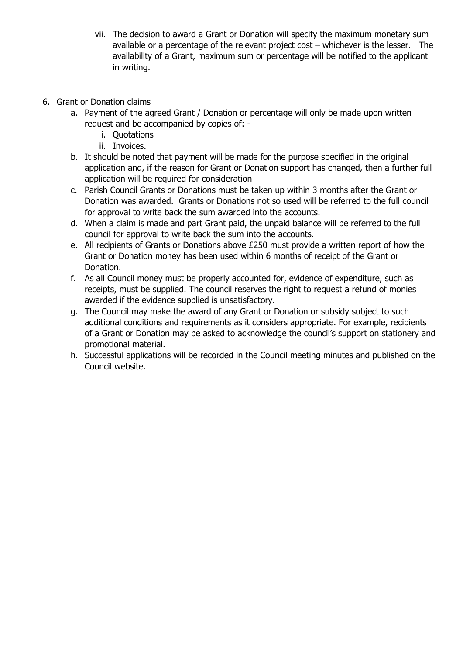- vii. The decision to award a Grant or Donation will specify the maximum monetary sum available or a percentage of the relevant project cost – whichever is the lesser. The availability of a Grant, maximum sum or percentage will be notified to the applicant in writing.
- 6. Grant or Donation claims
	- a. Payment of the agreed Grant / Donation or percentage will only be made upon written request and be accompanied by copies of:
		- i. Quotations
		- ii. Invoices.
	- b. It should be noted that payment will be made for the purpose specified in the original application and, if the reason for Grant or Donation support has changed, then a further full application will be required for consideration
	- c. Parish Council Grants or Donations must be taken up within 3 months after the Grant or Donation was awarded. Grants or Donations not so used will be referred to the full council for approval to write back the sum awarded into the accounts.
	- d. When a claim is made and part Grant paid, the unpaid balance will be referred to the full council for approval to write back the sum into the accounts.
	- e. All recipients of Grants or Donations above £250 must provide a written report of how the Grant or Donation money has been used within 6 months of receipt of the Grant or Donation.
	- f. As all Council money must be properly accounted for, evidence of expenditure, such as receipts, must be supplied. The council reserves the right to request a refund of monies awarded if the evidence supplied is unsatisfactory.
	- g. The Council may make the award of any Grant or Donation or subsidy subject to such additional conditions and requirements as it considers appropriate. For example, recipients of a Grant or Donation may be asked to acknowledge the council's support on stationery and promotional material.
	- h. Successful applications will be recorded in the Council meeting minutes and published on the Council website.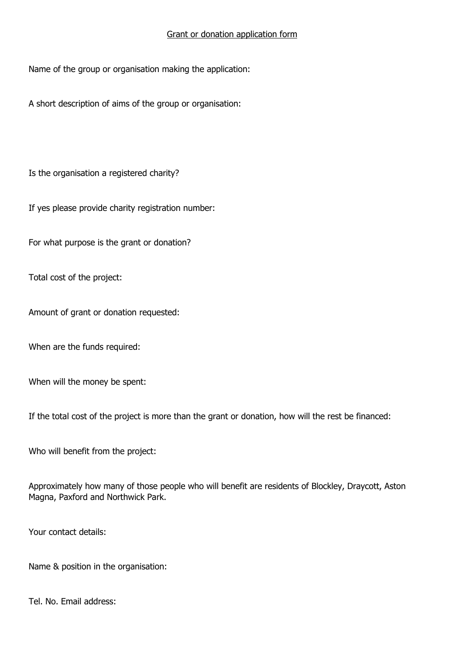## Grant or donation application form

Name of the group or organisation making the application:

A short description of aims of the group or organisation:

Is the organisation a registered charity?

If yes please provide charity registration number:

For what purpose is the grant or donation?

Total cost of the project:

Amount of grant or donation requested:

When are the funds required:

When will the money be spent:

If the total cost of the project is more than the grant or donation, how will the rest be financed:

Who will benefit from the project:

Approximately how many of those people who will benefit are residents of Blockley, Draycott, Aston Magna, Paxford and Northwick Park.

Your contact details:

Name & position in the organisation:

Tel. No. Email address: